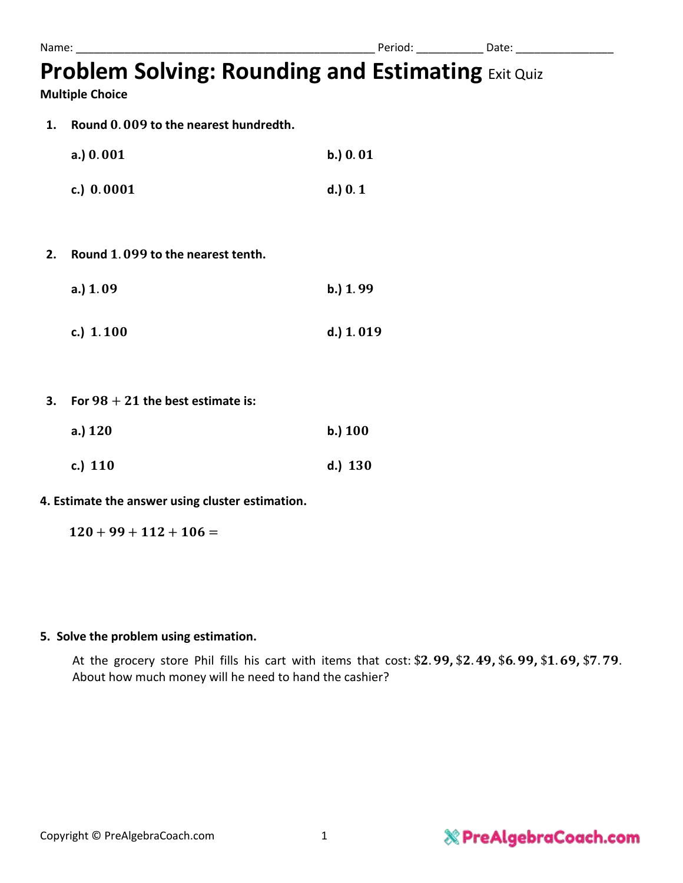# **Problem Solving: Rounding and Estimating** Exit Quiz

**Multiple Choice**

1. **Round 0.009 to the nearest hundredth.** 

| a.) $0.001$  | b.) 0.01   |
|--------------|------------|
| c.) $0.0001$ | $d.$ ) 0.1 |

- **2.** Round 1,099 to the nearest tenth.
	- **a.**) 1.09 **b.**) 1.99
	- c.) 1.100 d.) 1.019
- **3. For**  $98 + 21$  the best estimate is:

| a.) $120$ | b.) 100 |
|-----------|---------|
| c.) $110$ | d.) 130 |

#### **4. Estimate the answer using cluster estimation.**

 $120 + 99 + 112 + 106 =$ 

#### **5. Solve the problem using estimation.**

At the grocery store Phil fills his cart with items that cost: \$2.99, \$2.49, \$6.99, \$1.69, \$7.79. About how much money will he need to hand the cashier?